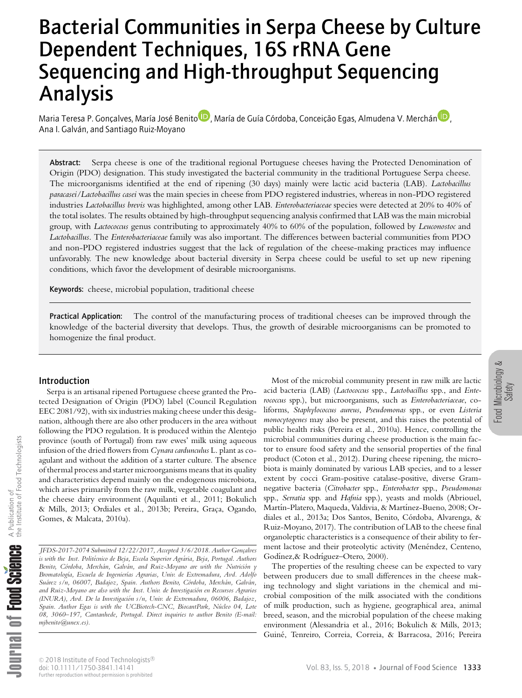# Dependent Techniques, 16S rRNA Gene Analysis Sequencing and High-throughput Sequencing Bacterial Communities in Serpa Cheese by Culture

Maria Teresa P. Gonçalves[,](http://orcid.org/0000-0001-8432-8035) María José Be[n](http://orcid.org/0000-0003-4880-4764)ito D, María de Guía Córdoba, Conceição Egas, Almudena V. Merchán<sup>i D</sup>, Ana I. Galván, and Santiago Ruiz-Moyano

Abstract: Serpa cheese is one of the traditional regional Portuguese cheeses having the Protected Denomination of Origin (PDO) designation. This study investigated the bacterial community in the traditional Portuguese Serpa cheese. The microorganisms identified at the end of ripening (30 days) mainly were lactic acid bacteria (LAB). *Lactobacillus paracasei/Lactobacillus casei* was the main species in cheese from PDO registered industries, whereas in non-PDO registered industries *Lactobacillus brevis* was highlighted, among other LAB. *Enterobacteriaceae* species were detected at 20% to 40% of the total isolates. The results obtained by high-throughput sequencing analysis confirmed that LAB was the main microbial group, with *Lactococcus* genus contributing to approximately 40% to 60% of the population, followed by *Leuconostoc* and *Lactobacillus*. The *Enterobacteriaceae* family was also important. The differences between bacterial communities from PDO and non-PDO registered industries suggest that the lack of regulation of the cheese-making practices may influence unfavorably. The new knowledge about bacterial diversity in Serpa cheese could be useful to set up new ripening conditions, which favor the development of desirable microorganisms.

Keywords: cheese, microbial population, traditional cheese

Practical Application: The control of the manufacturing process of traditional cheeses can be improved through the knowledge of the bacterial diversity that develops. Thus, the growth of desirable microorganisms can be promoted to homogenize the final product.

## Introduction

Serpa is an artisanal ripened Portuguese cheese granted the Protected Designation of Origin (PDO) label (Council Regulation EEC 2081/92), with six industries making cheese under this designation, although there are also other producers in the area without following the PDO regulation. It is produced within the Alentejo province (south of Portugal) from raw ewes' milk using aqueous infusion of the dried flowers from *Cynara cardunculus* L. plant as coagulant and without the addition of a starter culture. The absence of thermal processand starter microorganisms means that its quality and characteristics depend mainly on the endogenous microbiota, which arises primarily from the raw milk, vegetable coagulant and the cheese dairy environment (Aquilanti et al., 2011; Bokulich & Mills, 2013; Ordiales et al., 2013b; Pereira, Graça, Ogando, Gomes, & Malcata, 2010a).

*JFDS-2017-2074 Submitted 12/22/2017, Accepted 3/6/2018. Author Gonc¸alves is with the Inst. Politecnico ´ de Beja, Escola Superior Agrar´ ia, Beja, Portugal. Authors Benito, Cor´ doba, Merchan, ´ Galvan, ´ and Ruiz-Moyano are with the Nutricion´ y Bromatolog´ıa, Escuela de Ingenier´ıas Agrarias, Univ. de Extremadura, Avd. Adolfo Suarez ´ s/n, 06007, Badajoz, Spain. Authors Benito, Cor´ doba, Merchan, ´ Galvan, ´ and Ruiz-Moyano are also with the Inst. Univ. de Investigacion´ en Recursos Agrarios (INURA), Avd. De la Investigacion´ s/n, Univ. de Extremadura, 06006, Badajoz, Spain. Author Egas is with the UCBiotech-CNC, BiocantPark, Nuc´ leo 04, Lote 08, 3060–197, Cantanhede, Portugal. Direct inquiries to author Benito (E-mail: mjbenito@unex.es).*

Most of the microbial community present in raw milk are lactic acid bacteria (LAB) (*Lactococcus* spp., *Lactobacillus* spp., and *Enterococcus* spp.), but microorganisms, such as *Enterobacteriaceae*, coliforms, *Staphylococcus aureus*, *Pseudomonas* spp., or even *Listeria monocytogenes* may also be present, and this raises the potential of public health risks (Pereira et al., 2010a). Hence, controlling the microbial communities during cheese production is the main factor to ensure food safety and the sensorial properties of the final product (Coton et al., 2012). During cheese ripening, the microbiota is mainly dominated by various LAB species, and to a lesser extent by cocci Gram-positive catalase-positive, diverse Gramnegative bacteria (*Citrobacter* spp., *Enterobacter* spp., *Pseudomonas* spp., *Serratia* spp. and *Hafnia* spp.), yeasts and molds (Abriouel, Martín-Platero, Maqueda, Valdivia, & Martínez-Bueno, 2008; Ordiales et al., 2013a; Dos Santos, Benito, Córdoba, Alvarenga, & Ruiz-Moyano, 2017). The contribution of LAB to the cheese final organoleptic characteristics is a consequence of their ability to ferment lactose and their proteolytic activity (Menéndez, Centeno, Godínez, & Rodríguez-Otero, 2000).

The properties of the resulting cheese can be expected to vary between producers due to small differences in the cheese making technology and slight variations in the chemical and microbial composition of the milk associated with the conditions of milk production, such as hygiene, geographical area, animal breed, season, and the microbial population of the cheese making environment (Alessandria et al., 2016; Bokulich & Mills, 2013; Guiné, Tenreiro, Correia, Correia, & Barracosa, 2016; Pereira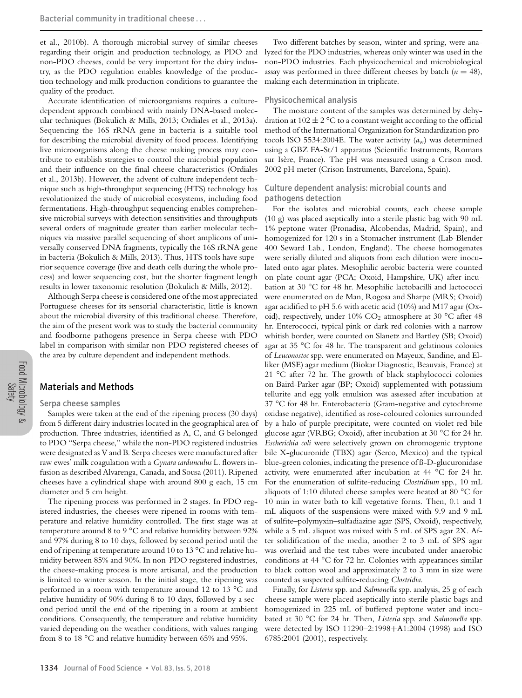et al., 2010b). A thorough microbial survey of similar cheeses regarding their origin and production technology, as PDO and non-PDO cheeses, could be very important for the dairy industry, as the PDO regulation enables knowledge of the production technology and milk production conditions to guarantee the quality of the product.

Accurate identification of microorganisms requires a culturedependent approach combined with mainly DNA-based molecular techniques (Bokulich & Mills, 2013; Ordiales et al., 2013a). Sequencing the 16S rRNA gene in bacteria is a suitable tool for describing the microbial diversity of food process. Identifying live microorganisms along the cheese making process may contribute to establish strategies to control the microbial population and their influence on the final cheese characteristics (Ordiales et al., 2013b). However, the advent of culture independent technique such as high-throughput sequencing (HTS) technology has revolutionized the study of microbial ecosystems, including food fermentations. High-throughput sequencing enables comprehensive microbial surveys with detection sensitivities and throughputs several orders of magnitude greater than earlier molecular techniques via massive parallel sequencing of short amplicons of universally conserved DNA fragments, typically the 16S rRNA gene in bacteria (Bokulich & Mills, 2013). Thus, HTS tools have superior sequence coverage (live and death cells during the whole process) and lower sequencing cost, but the shorter fragment length results in lower taxonomic resolution (Bokulich & Mills, 2012).

Although Serpa cheese is considered one of the most appreciated Portuguese cheeses for its sensorial characteristic, little is known about the microbial diversity of this traditional cheese. Therefore, the aim of the present work was to study the bacterial community and foodborne pathogens presence in Serpa cheese with PDO label in comparison with similar non-PDO registered cheeses of the area by culture dependent and independent methods.

# Materials and Methods

#### Serpa cheese samples

Samples were taken at the end of the ripening process (30 days) from 5 different dairy industries located in the geographical area of production. Three industries, identified as A, C, and G belonged to PDO "Serpa cheese," while the non-PDO registered industries were designated as V and B. Serpa cheeses were manufactured after raw ewes' milk coagulation with a *Cynara cardunculus* L. flowers infusion as described Alvarenga, Canada, and Sousa (2011). Ripened cheeses have a cylindrical shape with around 800 g each, 15 cm diameter and 5 cm height.

The ripening process was performed in 2 stages. In PDO registered industries, the cheeses were ripened in rooms with temperature and relative humidity controlled. The first stage was at temperature around 8 to 9 °C and relative humidity between 92% and 97% during 8 to 10 days, followed by second period until the end of ripening at temperature around 10 to 13 °C and relative humidity between 85% and 90%. In non-PDO registered industries, the cheese-making process is more artisanal, and the production is limited to winter season. In the initial stage, the ripening was performed in a room with temperature around 12 to 13 °C and relative humidity of 90% during 8 to 10 days, followed by a second period until the end of the ripening in a room at ambient conditions. Consequently, the temperature and relative humidity varied depending on the weather conditions, with values ranging from 8 to 18 °C and relative humidity between 65% and 95%.

Two different batches by season, winter and spring, were analyzed for the PDO industries, whereas only winter was used in the non-PDO industries. Each physicochemical and microbiological assay was performed in three different cheeses by batch  $(n = 48)$ , making each determination in triplicate.

#### Physicochemical analysis

The moisture content of the samples was determined by dehydration at  $102 \pm 2$  °C to a constant weight according to the official method of the International Organization for Standardization protocols ISO 5534:2004E. The water activity  $(a_w)$  was determined using a GBZ FA-St/1 apparatus (Scientific Instruments, Romans sur Isère, France). The pH was measured using a Crison mod. 2002 pH meter (Crison Instruments, Barcelona, Spain).

# Culture dependent analysis: microbial counts and pathogens detection

For the isolates and microbial counts, each cheese sample (10 g) was placed aseptically into a sterile plastic bag with 90 mL 1% peptone water (Pronadisa, Alcobendas, Madrid, Spain), and homogenized for 120 s in a Stomacher instrument (Lab-Blender 400 Seward Lab., London, England). The cheese homogenates were serially diluted and aliquots from each dilution were inoculated onto agar plates. Mesophilic aerobic bacteria were counted on plate count agar (PCA; Oxoid, Hampshire, UK) after incubation at 30 °C for 48 hr. Mesophilic lactobacilli and lactococci were enumerated on de Man, Rogosa and Sharpe (MRS; Oxoid) agar acidified to pH 5.6 with acetic acid (10%) and M17 agar (Oxoid), respectively, under 10%  $CO<sub>2</sub>$  atmosphere at 30 °C after 48 hr. Enterococci, typical pink or dark red colonies with a narrow whitish border, were counted on Slanetz and Bartley (SB; Oxoid) agar at 35 °C for 48 hr. The transparent and gelatinous colonies of *Leuconostoc* spp. were enumerated on Mayeux, Sandine, and Elliker (MSE) agar medium (Biokar Diagnostic, Beauvais, France) at 21 °C after 72 hr. The growth of black staphylococci colonies on Baird-Parker agar (BP; Oxoid) supplemented with potassium tellurite and egg yolk emulsion was assessed after incubation at 37 °C for 48 hr. Enterobacteria (Gram-negative and cytochrome oxidase negative), identified as rose-coloured colonies surrounded by a halo of purple precipitate, were counted on violet red bile glucose agar (VRBG; Oxoid), after incubation at 30 °C for 24 hr. *Escherichia coli* were selectively grown on chromogenic tryptone bile X-glucuronide (TBX) agar (Serco, Mexico) and the typical blue-green colonies, indicating the presence of ß-D-glucuronidase activity, were enumerated after incubation at 44 °C for 24 hr. For the enumeration of sulfite-reducing *Clostridium* spp., 10 mL aliquots of 1:10 diluted cheese samples were heated at 80 °C for 10 min in water bath to kill vegetative forms. Then, 0.1 and 1 mL aliquots of the suspensions were mixed with 9.9 and 9 mL of sulfite–polymyxin–sulfadiazine agar (SPS, Oxoid), respectively, while a 5 mL aliquot was mixed with 5 mL of SPS agar 2X. After solidification of the media, another 2 to 3 mL of SPS agar was overlaid and the test tubes were incubated under anaerobic conditions at 44 °C for 72 hr. Colonies with appearances similar to black cotton wool and approximately 2 to 3 mm in size were counted as suspected sulfite-reducing *Clostridia*.

Finally, for *Listeria* spp. and *Salmonella* spp. analysis, 25 g of each cheese sample were placed aseptically into sterile plastic bags and homogenized in 225 mL of buffered peptone water and incubated at 30 °C for 24 hr. Then, *Listeria* spp. and *Salmonella* spp. were detected by ISO 11290–2:1998+A1:2004 (1998) and ISO 6785:2001 (2001), respectively.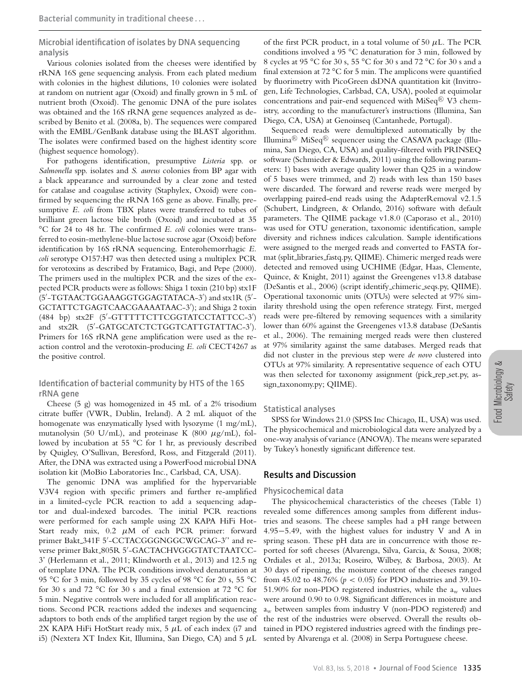Microbial identification of isolates by DNA sequencing analysis

Various colonies isolated from the cheeses were identified by rRNA 16S gene sequencing analysis. From each plated medium with colonies in the highest dilutions, 10 colonies were isolated at random on nutrient agar (Oxoid) and finally grown in 5 mL of nutrient broth (Oxoid). The genomic DNA of the pure isolates was obtained and the 16S rRNA gene sequences analyzed as described by Benito et al. (2008a, b). The sequences were compared with the EMBL/GenBank database using the BLAST algorithm. The isolates were confirmed based on the highest identity score (highest sequence homology).

For pathogens identification, presumptive *Listeria* spp. or *Salmonella* spp. isolates and *S. aureus* colonies from BP agar with a black appearance and surrounded by a clear zone and tested for catalase and coagulase activity (Staphylex, Oxoid) were confirmed by sequencing the rRNA 16S gene as above. Finally, presumptive *E. coli* from TBX plates were transferred to tubes of brilliant green lactose bile broth (Oxoid) and incubated at 35 °C for 24 to 48 hr. The confirmed *E. coli* colonies were transferred to eosin-methylene-blue lactose sucrose agar (Oxoid) before identification by 16S rRNA sequencing. Enterohemorrhagic *E. coli* serotype O157:H7 was then detected using a multiplex PCR for verotoxins as described by Fratamico, Bagi, and Pepe (2000). The primers used in the multiplex PCR and the sizes of the expected PCR products were as follows: Shiga 1 toxin (210 bp) stx1F (5 -TGTAACTGGAAAGGTGGAGTATACA-3 ) and stx1R (5 - GCTATTCTGAGTCAACGAAAATAAC-3 ); and Shiga 2 toxin (484 bp) stx2F (5 -GTTTTTCTTCGGTATCCTATTCC-3 ) and stx2R (5 -GATGCATCTCTGGTCATTGTATTAC-3 ). Primers for 16S rRNA gene amplification were used as the reaction control and the verotoxin-producing *E. coli* CECT4267 as the positive control.

Identification of bacterial community by HTS of the 16S rRNA gene

Cheese (5 g) was homogenized in 45 mL of a 2% trisodium citrate buffer (VWR, Dublin, Ireland). A 2 mL aliquot of the homogenate was enzymatically lysed with lysozyme (1 mg/mL), mutanolysin (50 U/mL), and proteinase K (800  $\mu$ g/mL), followed by incubation at 55 °C for 1 hr, as previously described by Quigley, O'Sullivan, Beresford, Ross, and Fitzgerald (2011). After, the DNA was extracted using a PowerFood microbial DNA isolation kit (MoBio Laboratories Inc., Carlsbad, CA, USA).

The genomic DNA was amplified for the hypervariable V3V4 region with specific primers and further re-amplified in a limited-cycle PCR reaction to add a sequencing adaptor and dual-indexed barcodes. The initial PCR reactions were performed for each sample using 2X KAPA HiFi Hot-Start ready mix, 0.2 *µ*M of each PCR primer: forward primer Bakt 341F 5 -CCTACGGGNGGCWGCAG-3 ' and reverse primer Bakt 805R 5 -GACTACHVGGGTATCTAATCC-3' (Herlemann et al., 2011; Klindworth et al., 2013) and 12.5 ng of template DNA. The PCR conditions involved denaturation at 95 °C for 3 min, followed by 35 cycles of 98 °C for 20 s, 55 °C for 30 s and 72 °C for 30 s and a final extension at 72 °C for 5 min. Negative controls were included for all amplification reactions. Second PCR reactions added the indexes and sequencing adaptors to both ends of the amplified target region by the use of 2X KAPA HiFi HotStart ready mix, 5 *µ*L of each index (i7 and i5) (Nextera XT Index Kit, Illumina, San Diego, CA) and 5 *µ*L sented by Alvarenga et al. (2008) in Serpa Portuguese cheese.

of the first PCR product, in a total volume of 50 *µ*L. The PCR conditions involved a 95 °C denaturation for 3 min, followed by 8 cycles at 95 °C for 30 s, 55 °C for 30 s and 72 °C for 30 s and a final extension at 72 °C for 5 min. The amplicons were quantified by fluorimetry with PicoGreen dsDNA quantitation kit (Invitrogen, Life Technologies, Carlsbad, CA, USA), pooled at equimolar concentrations and pair-end sequenced with MiSeq ${}^{\textrm{\textregistered}}$  V3 chemistry, according to the manufacturer's instructions (Illumina, San Diego, CA, USA) at Genoinseq (Cantanhede, Portugal).

Sequenced reads were demultiplexed automatically by the Illumina $^{\text{\textregistered}}$  MiSeq $^{\text{\textregistered}}$  sequencer using the CASAVA package (Illu– mina, San Diego, CA, USA) and quality-filtered with PRINSEQ software (Schmieder & Edwards, 2011) using the following parameters: 1) bases with average quality lower than Q25 in a window of 5 bases were trimmed, and 2) reads with less than 150 bases were discarded. The forward and reverse reads were merged by overlapping paired-end reads using the AdapterRemoval v2.1.5 (Schubert, Lindgreen, & Orlando, 2016) software with default parameters. The QIIME package v1.8.0 (Caporaso et al., 2010) was used for OTU generation, taxonomic identification, sample diversity and richness indices calculation. Sample identifications were assigned to the merged reads and converted to FASTA format (split libraries fastq.py, QIIME). Chimeric merged reads were detected and removed using UCHIME (Edgar, Haas, Clemente, Quince, & Knight, 2011) against the Greengenes v13.8 database (DeSantis et al., 2006) (script identify chimeric seqs.py, QIIME). Operational taxonomic units (OTUs) were selected at 97% similarity threshold using the open reference strategy. First, merged reads were pre-filtered by removing sequences with a similarity lower than 60% against the Greengenes v13.8 database (DeSantis et al., 2006). The remaining merged reads were then clustered at 97% similarity against the same databases. Merged reads that did not cluster in the previous step were *de novo* clustered into OTUs at 97% similarity. A representative sequence of each OTU was then selected for taxonomy assignment (pick\_rep\_set.py, assign\_taxonomy.py; QIIME).

## Statistical analyses

SPSS for Windows 21.0 (SPSS Inc Chicago, IL, USA) was used. The physicochemical and microbiological data were analyzed by a one-way analysis of variance (ANOVA). The means were separated by Tukey's honestly significant difference test.

# Results and Discussion

## Physicochemical data

The physicochemical characteristics of the cheeses (Table 1) revealed some differences among samples from different industries and seasons. The cheese samples had a pH range between 4.95−5.49, with the highest values for industry V and A in spring season. These pH data are in concurrence with those reported for soft cheeses (Alvarenga, Silva, Garcia, & Sousa, 2008; Ordiales et al., 2013a; Roseiro, Wilbey, & Barbosa, 2003). At 30 days of ripening, the moisture content of the cheeses ranged from 45.02 to 48.76% ( $p < 0.05$ ) for PDO industries and 39.10-51.90% for non-PDO registered industries, while the  $a_w$  values were around 0.90 to 0.98. Significant differences in moisture and aw between samples from industry V (non-PDO registered) and the rest of the industries were observed. Overall the results obtained in PDO registered industries agreed with the findings pre-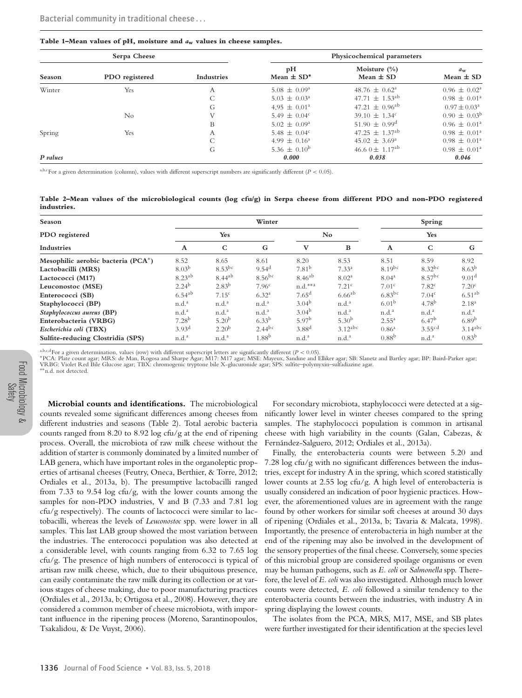#### **Table 1–Mean values of pH, moisture and** *a***<sup>w</sup> values in cheese samples.**

| Serpa Cheese |                |                   | Physicochemical parameters       |                                   |                              |  |  |  |  |
|--------------|----------------|-------------------|----------------------------------|-----------------------------------|------------------------------|--|--|--|--|
| Season       | PDO registered | <b>Industries</b> | pH<br>Mean $\pm$ SD <sup>*</sup> | Moisture $(\% )$<br>Mean $\pm$ SD | $d_{\rm w}$<br>Mean $\pm$ SD |  |  |  |  |
| Winter       | Yes            | А                 | $5.08 \pm 0.09^{\circ}$          | $48.76 \pm 0.62^{\circ}$          | $0.96 \pm 0.02^{\circ}$      |  |  |  |  |
|              |                |                   | $5.03 \pm 0.03^{\circ}$          | $47.71 \pm 1.53$ <sup>ab</sup>    | $0.98 \pm 0.01^{\circ}$      |  |  |  |  |
|              |                | G                 | $4.95 \pm 0.01^{\circ}$          | $47.21 \pm 0.96^{ab}$             | $0.97 \pm 0.03^{\circ}$      |  |  |  |  |
|              | $\rm No$       | V                 | 5.49 $\pm$ 0.04 <sup>c</sup>     | $39.10 \pm 1.34^c$                | $0.90 \pm 0.03^{\rm b}$      |  |  |  |  |
|              |                | B                 | $5.02 \pm 0.09^{\circ}$          | $51.90 \pm 0.99^{\text{d}}$       | $0.96 \pm 0.01^{\circ}$      |  |  |  |  |
| Spring       | Yes            | Α                 | 5.48 $\pm$ 0.04 <sup>c</sup>     | $47.25 \pm 1.37$ <sup>ab</sup>    | $0.98 \pm 0.01^{\circ}$      |  |  |  |  |
|              |                |                   | $4.99 \pm 0.16^{\circ}$          | $45.02 \pm 3.69^{\circ}$          | $0.98 \pm 0.01^{\circ}$      |  |  |  |  |
|              |                | G                 | 5.36 $\pm$ 0.10 <sup>b</sup>     | 46.6 0 $\pm$ 1.17 <sup>ab</sup>   | $0.98 \pm 0.01^{\circ}$      |  |  |  |  |
| P values     |                |                   | 0.000                            | 0.038                             | 0.046                        |  |  |  |  |

a,b,cFor a given determination (column), values with different superscript numbers are significantly different (*P <* 0.05).

**Table 2–Mean values of the microbiological counts (log cfu/g) in Serpa cheese from different PDO and non-PDO registered industries.**

| Season                             |                   |                   | Winter            |                   | Spring            |                      |                    |                       |  |
|------------------------------------|-------------------|-------------------|-------------------|-------------------|-------------------|----------------------|--------------------|-----------------------|--|
| PDO registered                     |                   | Yes               |                   |                   | No.               |                      | Yes                |                       |  |
| Industries                         | A                 | $\mathsf{C}$      | G                 | $\mathbf{V}$      | B                 | $\mathbf{A}$         | $\mathbf C$        | G                     |  |
| Mesophilic aerobic bacteria (PCA*) | 8.52              | 8.65              | 8.61              | 8.20              | 8.53              | 8.51                 | 8.59               | 8.92                  |  |
| Lactobacilli (MRS)                 | $8.03^{b}$        | $8.53$ bc         | $9.54^{\rm d}$    | 7.81 <sup>b</sup> | $7.33^{a}$        | $8.19^{bc}$          | $8.32^{bc}$        | $8.63^{b}$            |  |
| Lactococci (M17)                   | $8.23^{ab}$       | $8.44^{ab}$       | $8.56^{bc}$       | $8.46^{ab}$       | 8.02 <sup>a</sup> | 8.04 <sup>a</sup>    | $8.57^{bc}$        | 9.01 <sup>d</sup>     |  |
| Leuconostoc (MSE)                  | $2.24^{b}$        | $2.83^{b}$        | 7.96 <sup>c</sup> | $n.d.***^a$       | 7.21 <sup>c</sup> | 7.01 <sup>c</sup>    | 7.82 <sup>c</sup>  | 7.20 <sup>c</sup>     |  |
| Enterococci (SB)                   | $6.54^{ab}$       | 7.15 <sup>c</sup> | 6.32 <sup>a</sup> | $7.65^{\rm d}$    | $6.66^{ab}$       | $6.83$ <sup>bc</sup> | 7.04 <sup>c</sup>  | $6.51^{ab}$           |  |
| Staphylococci (BP)                 | n.d. <sup>a</sup> | n.d. <sup>a</sup> | n.d. <sup>a</sup> | 3.04 <sup>b</sup> | n.d. <sup>a</sup> | 6.01 <sup>b</sup>    | 4.78 <sup>b</sup>  | 2.18 <sup>a</sup>     |  |
| Staphylococcus aureus (BP)         | n.d. <sup>a</sup> | n.d. <sup>a</sup> | n.d. <sup>a</sup> | $3.04^{b}$        | n.d. <sup>a</sup> | n.d. <sup>a</sup>    | n.d. <sup>a</sup>  | n.d. <sup>a</sup>     |  |
| Enterobacteria (VRBG)              | 7.28 <sup>b</sup> | 5.20 <sup>b</sup> | $6.33^{b}$        | 5.97 <sup>b</sup> | $5.30^{b}$        | $2.55^{\rm a}$       | 6.47 <sup>b</sup>  | $6.89^{b}$            |  |
| Escherichia coli (TBX)             | 3.93 <sup>d</sup> | 2.20 <sup>b</sup> | $2.44^{bc}$       | $3.88^{d}$        | $3.12^{abc}$      | 0.86 <sup>a</sup>    | 3.55 <sup>cd</sup> | $3.14$ <sup>abc</sup> |  |
| Sulfite-reducing Clostridia (SPS)  | n.d. <sup>a</sup> | n.d. <sup>a</sup> | 1.88 <sup>b</sup> | n.d. <sup>a</sup> | n.d. <sup>a</sup> | $0.88^{b}$           | n.d. <sup>a</sup>  | $0.83^{b}$            |  |

<sup>a,b,c,d</sup>For a given determination, values (row) with different superscript letters are significantly different (P < 0.05).<br>\*PCA: Plate count agar; MRS: de Man, Rogosa and Sharpe Agar; M17: M17 agar; MSE: Mayeux, Sandine a VRBG: Violet Red Bile Glucose agar; TBX: chromogenic tryptone bile X-glucuronide agar; SPS: sulfite–polymyxin–sulfadiazine agar. ∗∗n.d. not detected.

Food Microbiology & Safety

**Microbial counts and identifications.** The microbiological counts revealed some significant differences among cheeses from different industries and seasons (Table 2). Total aerobic bacteria counts ranged from 8.20 to 8.92 log cfu/g at the end of ripening process. Overall, the microbiota of raw milk cheese without the addition of starter is commonly dominated by a limited number of LAB genera, which have important roles in the organoleptic properties of artisanal cheeses (Feutry, Oneca, Berthier, & Torre, 2012; Ordiales et al., 2013a, b). The presumptive lactobacilli ranged from 7.33 to 9.54 log cfu/g, with the lower counts among the samples for non-PDO industries, V and B (7.33 and 7.81 log cfu/g respectively). The counts of lactococci were similar to lactobacilli, whereas the levels of *Leuconostoc* spp. were lower in all samples. This last LAB group showed the most variation between the industries. The enterococci population was also detected at a considerable level, with counts ranging from 6.32 to 7.65 log cfu/g. The presence of high numbers of enterococci is typical of artisan raw milk cheese, which, due to their ubiquitous presence, can easily contaminate the raw milk during its collection or at various stages of cheese making, due to poor manufacturing practices (Ordiales et al., 2013a, b; Ortigosa et al., 2008). However, they are considered a common member of cheese microbiota, with important influence in the ripening process (Moreno, Sarantinopoulos, Tsakalidou, & De Vuyst, 2006).

For secondary microbiota, staphylococci were detected at a significantly lower level in winter cheeses compared to the spring samples. The staphylococci population is common in artisanal cheese with high variability in the counts (Galan, Cabezas, & Fernández-Salguero, 2012; Ordiales et al., 2013a).

Finally, the enterobacteria counts were between 5.20 and 7.28 log cfu/g with no significant differences between the industries, except for industry A in the spring, which scored statistically lower counts at 2.55 log cfu/g. A high level of enterobacteria is usually considered an indication of poor hygienic practices. However, the aforementioned values are in agreement with the range found by other workers for similar soft cheeses at around 30 days of ripening (Ordiales et al., 2013a, b; Tavaria & Malcata, 1998). Importantly, the presence of enterobacteria in high number at the end of the ripening may also be involved in the development of the sensory properties of the final cheese. Conversely, some species of this microbial group are considered spoilage organisms or even may be human pathogens, such as *E. coli* or *Salmonella* spp. Therefore, the level of *E. coli* was also investigated. Although much lower counts were detected, *E. coli* followed a similar tendency to the enterobacteria counts between the industries, with industry A in spring displaying the lowest counts.

The isolates from the PCA, MRS, M17, MSE, and SB plates were further investigated for their identification at the species level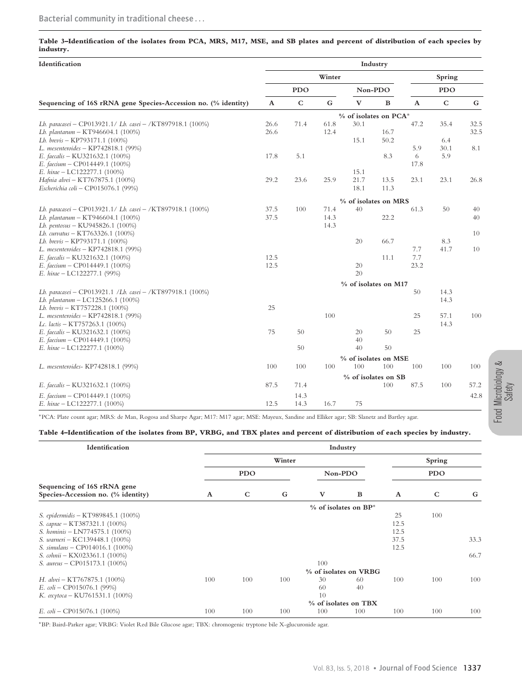# **Table 3–Identification of the isolates from PCA, MRS, M17, MSE, and SB plates and percent of distribution of each species by industry.**

| Identification                                                 |                       |             |           |                      | Industry     |                           |           |      |  |
|----------------------------------------------------------------|-----------------------|-------------|-----------|----------------------|--------------|---------------------------|-----------|------|--|
|                                                                | Winter                |             |           |                      |              | Spring                    |           |      |  |
|                                                                | <b>PDO</b>            |             |           | Non-PDO              |              | <b>PDO</b>                |           |      |  |
| Sequencing of 16S rRNA gene Species-Accession no. (% identity) | $\boldsymbol{\rm{A}}$ | $\mathbf C$ | ${\bf G}$ | $\mathbf{V}$         | $\, {\bf B}$ | $\boldsymbol{\mathrm{A}}$ | ${\bf C}$ | G    |  |
|                                                                | % of isolates on PCA* |             |           |                      |              |                           |           |      |  |
| Lb. paracasei - CP013921.1/ Lb. casei - /KT897918.1 (100%)     | 26.6                  | 71.4        | 61.8      | 30.1                 |              | 47.2                      | 35.4      | 32.5 |  |
| Lb. plantarum - KT946604.1 (100%)                              | 26.6                  |             | 12.4      |                      | 16.7         |                           |           | 32.5 |  |
| Lb. brevis - KP793171.1 (100%)                                 |                       |             |           | 15.1                 | 50.2         |                           | 6.4       |      |  |
| L. mesenteroides - KP742818.1 (99%)                            |                       |             |           |                      |              | 5.9                       | 30.1      | 8.1  |  |
| E. faecalis – KU321632.1 (100%)                                | 17.8                  | 5.1         |           |                      | 8.3          | 6                         | 5.9       |      |  |
| E. faecium - CP014449.1 (100%)                                 |                       |             |           |                      |              | 17.8                      |           |      |  |
| E. hirae - LC122277.1 (100%)                                   |                       |             |           | 15.1                 |              |                           |           |      |  |
| Hafnia alvei - KT767875.1 (100%)                               | 29.2                  | 23.6        | 25.9      | 21.7                 | 13.5         | 23.1                      | 23.1      | 26.8 |  |
| Escherichia coli - CP015076.1 (99%)                            |                       |             |           | 18.1                 | 11.3         |                           |           |      |  |
|                                                                |                       |             |           | % of isolates on MRS |              |                           |           |      |  |
| Lb. paracasei - CP013921.1/ Lb. casei - /KT897918.1 (100%)     | 37.5                  | 100         | 71.4      | 40                   |              | 61.3                      | 50        | 40   |  |
| Lb. plantarum – $KT946604.1$ (100%)                            | 37.5                  |             | 14.3      |                      | 22.2         |                           |           | 40   |  |
| Lb. pentosus - KU945826.1 (100%)                               |                       |             | 14.3      |                      |              |                           |           |      |  |
| Lb. curvatus - KT763326.1 (100%)                               |                       |             |           |                      |              |                           |           | 10   |  |
| Lb. brevis - KP793171.1 (100%)                                 |                       |             |           | 20                   | 66.7         |                           | 8.3       |      |  |
| L. mesenteroides - KP742818.1 (99%)                            |                       |             |           |                      |              | 7.7                       | 41.7      | 10   |  |
| E. faecalis - KU321632.1 (100%)                                | 12.5                  |             |           |                      | 11.1         | 7.7                       |           |      |  |
| E. faecium - CP014449.1 (100%)                                 | 12.5                  |             |           | 20                   |              | 23.2                      |           |      |  |
| E. hirae - LC122277.1 (99%)                                    |                       |             |           | 20                   |              |                           |           |      |  |
|                                                                |                       |             |           | % of isolates on M17 |              |                           |           |      |  |
| Lb. paracasei - CP013921.1 /Lb. casei - /KT897918.1 (100%)     |                       |             |           |                      |              | 50                        | 14.3      |      |  |
| Lb. plantarum - LC125266.1 (100%)                              |                       |             |           |                      |              |                           | 14.3      |      |  |
| Lb. brevis - KT757228.1 (100%)                                 | 25                    |             |           |                      |              |                           |           |      |  |
| L. mesenteroides - KP742818.1 (99%)                            |                       |             | 100       |                      |              | 25                        | 57.1      | 100  |  |
| Lc. lactis - KT757263.1 (100%)                                 |                       |             |           |                      |              |                           | 14.3      |      |  |
| E. faecalis - KU321632.1 (100%)                                | 75                    | 50          |           | 20                   | 50           | 25                        |           |      |  |
| E. faecium - CP014449.1 (100%)                                 |                       |             |           | 40                   |              |                           |           |      |  |
| E. hirae $-$ LC122277.1 (100%)                                 |                       | 50          |           | 40                   | 50           |                           |           |      |  |
|                                                                |                       |             |           | % of isolates on MSE |              |                           |           |      |  |
| L. mesenteroides- KP742818.1 (99%)                             | 100                   | 100         | 100       | 100                  | 100          | 100                       | 100       | 100  |  |
|                                                                | % of isolates on SB   |             |           |                      |              |                           |           |      |  |
| E. faecalis - KU321632.1 (100%)                                | 87.5                  | 71.4        |           |                      | 100          | 87.5                      | 100       | 57.2 |  |
| E. faecium - CP014449.1 (100%)                                 |                       | 14.3        |           |                      |              |                           |           | 42.8 |  |
| E. hirae $-$ LC122277.1 (100%)                                 | 12.5                  | 14.3        | 16.7      | 75                   |              |                           |           |      |  |

∗PCA: Plate count agar; MRS: de Man, Rogosa and Sharpe Agar; M17: M17 agar; MSE: Mayeux, Sandine and Elliker agar; SB: Slanetz and Bartley agar.

## **Table 4–Identification of the isolates from BP, VRBG, and TBX plates and percent of distribution of each species by industry.**

| Identification                                                    | Industry                  |                      |     |                       |          |              |            |      |  |  |
|-------------------------------------------------------------------|---------------------------|----------------------|-----|-----------------------|----------|--------------|------------|------|--|--|
|                                                                   | Winter                    |                      |     |                       |          |              | Spring     |      |  |  |
|                                                                   | <b>PDO</b>                |                      |     | Non-PDO               |          |              | <b>PDO</b> |      |  |  |
| Sequencing of 16S rRNA gene<br>Species-Accession no. (% identity) | A                         | C                    | G   | V                     | $\bf{B}$ | $\mathbf{A}$ | C          | G    |  |  |
|                                                                   | $%$ of isolates on $BP^*$ |                      |     |                       |          |              |            |      |  |  |
| S. epidermidis - KT989845.1 (100%)                                |                           |                      |     |                       |          | 25           | 100        |      |  |  |
| S. caprae – KT387321.1 (100%)                                     |                           |                      |     |                       |          | 12.5         |            |      |  |  |
| S. hominis - LN774575.1 (100%)                                    |                           |                      |     |                       |          | 12.5         |            |      |  |  |
| S. warneri – KC139448.1 (100%)                                    |                           |                      |     |                       |          | 37.5         |            | 33.3 |  |  |
| S. simulans – CP014016.1 (100%)                                   |                           |                      |     |                       |          | 12.5         |            |      |  |  |
| S. cohnii – KX023361.1 (100%)                                     |                           |                      |     |                       |          |              |            | 66.7 |  |  |
| S. aureus - CP015173.1 (100%)                                     |                           |                      |     | 100                   |          |              |            |      |  |  |
|                                                                   |                           |                      |     | % of isolates on VRBG |          |              |            |      |  |  |
| H. alvei – KT767875.1 $(100\%)$                                   | 100                       | 100                  | 100 | 30                    | 60       | 100          | 100        | 100  |  |  |
| E. $\omega$ li – CP015076.1 (99%)                                 |                           |                      |     | 60                    | 40       |              |            |      |  |  |
| K. $\alpha x \gamma$ toca – KU761531.1 (100%)                     |                           |                      |     | 10                    |          |              |            |      |  |  |
|                                                                   |                           | % of isolates on TBX |     |                       |          |              |            |      |  |  |
| E. $\omega$ li – CP015076.1 (100%)                                | 100                       | 100                  | 100 | 100                   | 100      | 100          | 100        | 100  |  |  |

∗BP: Baird-Parker agar; VRBG: Violet Red Bile Glucose agar; TBX: chromogenic tryptone bile X-glucuronide agar.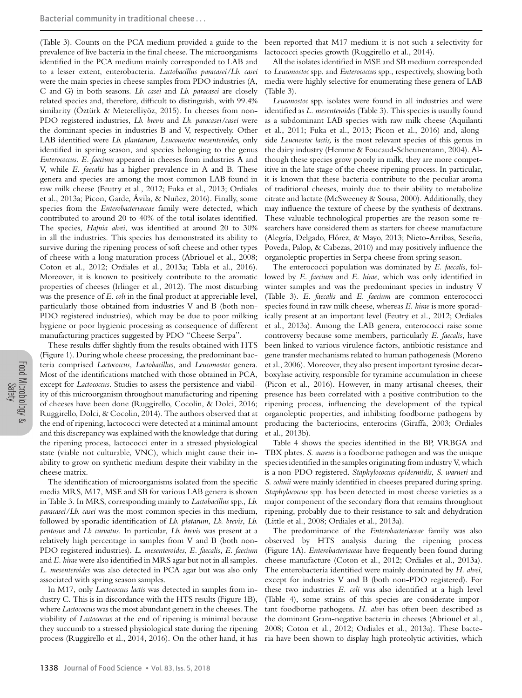(Table 3). Counts on the PCA medium provided a guide to the prevalence of live bacteria in the final cheese. The microorganisms identified in the PCA medium mainly corresponded to LAB and to a lesser extent, enterobacteria. *Lactobacillus paracasei/Lb. casei* were the main species in cheese samples from PDO industries (A, C and G) in both seasons. *Lb. casei* and *Lb. paracasei* are closely related species and, therefore, difficult to distinguish, with 99.4% similarity (Öztürk & Meterelliyöz, 2015). In cheeses from non-PDO registered industries, *Lb. brevis* and *Lb. paracasei/casei* were the dominant species in industries B and V, respectively. Other LAB identified were *Lb. plantarum, Leuconostoc mesenteroides,* only identified in spring season, and species belonging to the genus *Enterococcus*. *E. faecium* appeared in cheeses from industries A and V, while *E. faecalis* has a higher prevalence in A and B. These genera and species are among the most common LAB found in raw milk cheese (Feutry et al., 2012; Fuka et al., 2013; Ordiales et al., 2013a; Picon, Garde, Avila, & Nuñez, 2016). Finally, some species from the *Enterobacteriaceae* family were detected, which contributed to around 20 to 40% of the total isolates identified. The species, *Hafnia alvei*, was identified at around 20 to 30% in all the industries. This species has demonstrated its ability to survive during the ripening process of soft cheese and other types of cheese with a long maturation process (Abriouel et al., 2008; Coton et al., 2012; Ordiales et al., 2013a; Tabla et al., 2016). Moreover, it is known to positively contribute to the aromatic properties of cheeses (Irlinger et al., 2012). The most disturbing was the presence of *E. coli* in the final product at appreciable level, particularly those obtained from industries V and B (both non-PDO registered industries), which may be due to poor milking hygiene or poor hygienic processing as consequence of different manufacturing practices suggested by PDO "Cheese Serpa".

These results differ slightly from the results obtained with HTS (Figure 1). During whole cheese processing, the predominant bacteria comprised *Lactococcus*, *Lactobacillus*, and *Leuconostoc* genera. Most of the identifications matched with those obtained in PCA, except for *Lactococcus*. Studies to assess the persistence and viability of this microorganism throughout manufacturing and ripening of cheeses have been done (Ruggirello, Cocolin, & Dolci, 2016; Ruggirello, Dolci, & Cocolin, 2014). The authors observed that at the end of ripening, lactococci were detected at a minimal amount and this discrepancy was explained with the knowledge that during the ripening process, lactococci enter in a stressed physiological state (viable not culturable, VNC), which might cause their inability to grow on synthetic medium despite their viability in the cheese matrix.

The identification of microorganisms isolated from the specific media MRS, M17, MSE and SB for various LAB genera is shown in Table 3. In MRS, corresponding mainly to *Lactobacillus* spp., *Lb. paracasei/Lb. casei* was the most common species in this medium, followed by sporadic identification of *Lb. platarum*, *Lb. brevis*, *Lb. pentosus* and *Lb curvatus*. In particular, *Lb. brevis* was present at a relatively high percentage in samples from V and B (both non-PDO registered industries). *L. mesenteroides*, *E. faecalis*, *E. faecium* and *E. hirae* were also identified in MRS agar but not in all samples. *L. mesenteroides* was also detected in PCA agar but was also only associated with spring season samples.

In M17, only *Lactococcus lactis* was detected in samples from industry C. This is in discordance with the HTS results (Figure 1B), where *Lactococcus* was the most abundant genera in the cheeses. The viability of *Lactococcus* at the end of ripening is minimal because they succumb to a stressed physiological state during the ripening process (Ruggirello et al., 2014, 2016). On the other hand, it has

been reported that M17 medium it is not such a selectivity for lactococci species growth (Ruggirello et al., 2014).

All the isolates identified in MSE and SB medium corresponded to *Leuconostoc* spp. and *Enterococcus* spp., respectively, showing both media were highly selective for enumerating these genera of LAB (Table 3).

*Leuconostoc* spp. isolates were found in all industries and were identified as *L. mesenteroides* (Table 3). This species is usually found as a subdominant LAB species with raw milk cheese (Aquilanti et al., 2011; Fuka et al., 2013; Picon et al., 2016) and, alongside *Leucnostoc lactis,* is the most relevant species of this genus in the dairy industry (Hemme & Foucaud-Scheunemann, 2004). Although these species grow poorly in milk, they are more competitive in the late stage of the cheese ripening process. In particular, it is known that these bacteria contribute to the peculiar aroma of traditional cheeses, mainly due to their ability to metabolize citrate and lactate (McSweeney & Sousa, 2000). Additionally, they may influence the texture of cheese by the synthesis of dextrans. These valuable technological properties are the reason some researchers have considered them as starters for cheese manufacture (Alegría, Delgado, Flórez, & Mayo, 2013; Nieto-Arribas, Seseña, Poveda, Palop, & Cabezas, 2010) and may positively influence the organoleptic properties in Serpa cheese from spring season.

The enterococci population was dominated by *E. faecalis*, followed by *E. faecium* and *E. hirae*, which was only identified in winter samples and was the predominant species in industry V (Table 3). *E. faecalis* and *E. faecium* are common enterococci species found in raw milk cheese, whereas *E. hirae* is more sporadically present at an important level (Feutry et al., 2012; Ordiales et al., 2013a). Among the LAB genera, enterococci raise some controversy because some members, particularly *E. faecalis*, have been linked to various virulence factors, antibiotic resistance and gene transfer mechanisms related to human pathogenesis (Moreno et al., 2006). Moreover, they also present important tyrosine decarboxylase activity, responsible for tyramine accumulation in cheese (Picon et al., 2016). However, in many artisanal cheeses, their presence has been correlated with a positive contribution to the ripening process, influencing the development of the typical organoleptic properties, and inhibiting foodborne pathogens by producing the bacteriocins, enterocins (Giraffa, 2003; Ordiales et al., 2013b).

Table 4 shows the species identified in the BP, VRBGA and TBX plates. *S. aureus* is a foodborne pathogen and was the unique species identified in the samples originating from industry V, which is a non-PDO registered. *Staphylococcus epidermidis*, *S. warneri* and *S. cohnii* were mainly identified in cheeses prepared during spring. *Staphylococcus* spp. has been detected in most cheese varieties as a major component of the secondary flora that remains throughout ripening, probably due to their resistance to salt and dehydration (Little et al., 2008; Ordiales et al., 2013a).

The predominance of the *Enterobacteriaceae* family was also observed by HTS analysis during the ripening process (Figure 1A). *Enterobacteriaceae* have frequently been found during cheese manufacture (Coton et al., 2012; Ordiales et al., 2013a). The enterobacteria identified were mainly dominated by *H. alvei*, except for industries V and B (both non-PDO registered). For these two industries *E. coli* was also identified at a high level (Table 4), some strains of this species are considerate important foodborne pathogens. *H. alvei* has often been described as the dominant Gram-negative bacteria in cheeses (Abriouel et al., 2008; Coton et al., 2012; Ordiales et al., 2013a). These bacteria have been shown to display high proteolytic activities, which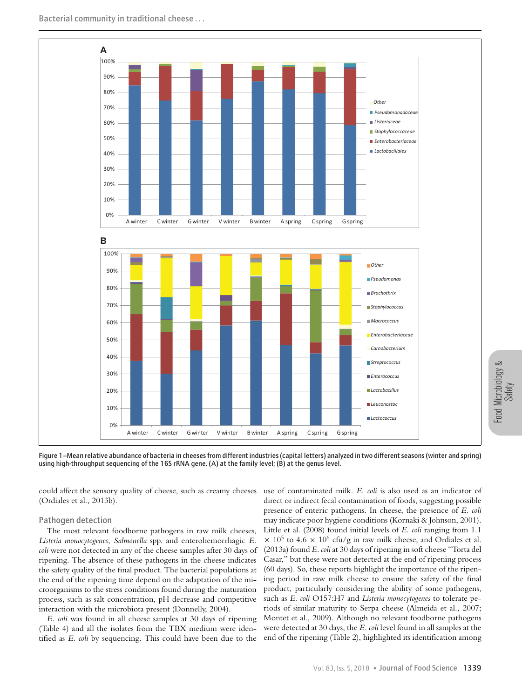

Figure 1–Mean relative abundance of bacteria in cheeses from different industries (capital letters) analyzed in two different seasons (winter and spring) using high-throughput sequencing of the 16S rRNA gene. (A) at the family level; (B) at the genus level.

could affect the sensory quality of cheese, such as creamy cheeses (Ordiales et al., 2013b).

#### Pathogen detection

The most relevant foodborne pathogens in raw milk cheeses, *Listeria monocytogenes*, *Salmonella* spp. and enterohemorrhagic *E. coli* were not detected in any of the cheese samples after 30 days of ripening. The absence of these pathogens in the cheese indicates the safety quality of the final product. The bacterial populations at the end of the ripening time depend on the adaptation of the microorganisms to the stress conditions found during the maturation process, such as salt concentration, pH decrease and competitive interaction with the microbiota present (Donnelly, 2004).

*E. coli* was found in all cheese samples at 30 days of ripening (Table 4) and all the isolates from the TBX medium were identified as *E. coli* by sequencing. This could have been due to the

use of contaminated milk. *E. coli* is also used as an indicator of direct or indirect fecal contamination of foods, suggesting possible presence of enteric pathogens. In cheese, the presence of *E. coli* may indicate poor hygiene conditions (Kornaki & Johnson, 2001). Little et al. (2008) found initial levels of *E. coli* ranging from 1.1  $\times$  10<sup>5</sup> to 4.6  $\times$  10<sup>6</sup> cfu/g in raw milk cheese, and Ordiales et al. (2013a) found *E. coli*at 30 days of ripening in soft cheese "Torta del Casar," but these were not detected at the end of ripening process (60 days). So, these reports highlight the importance of the ripening period in raw milk cheese to ensure the safety of the final product, particularly considering the ability of some pathogens, such as *E. coli* O157:H7 and *Listeria monocytogenes* to tolerate periods of similar maturity to Serpa cheese (Almeida et al., 2007; Montet et al., 2009). Although no relevant foodborne pathogens were detected at 30 days, the *E. coli* level found in all samples at the end of the ripening (Table 2), highlighted its identification among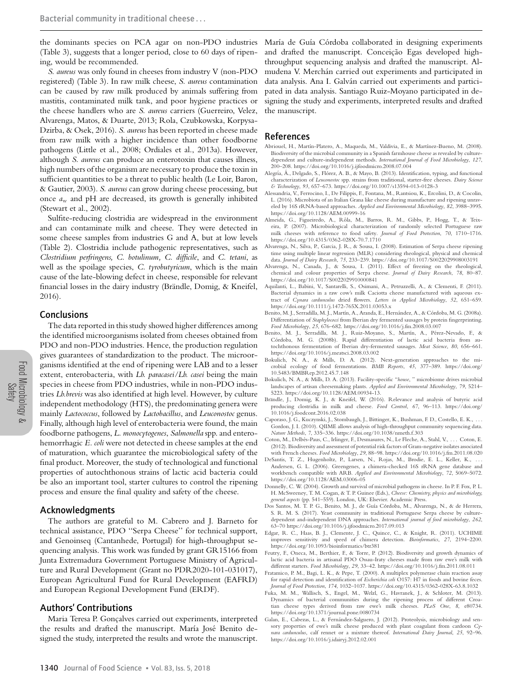the dominants species on PCA agar on non-PDO industries (Table 3), suggests that a longer period, close to 60 days of ripening, would be recommended.

*S. aureus* was only found in cheeses from industry V (non-PDO registered) (Table 3). In raw milk cheese, *S. aureus* contamination can be caused by raw milk produced by animals suffering from mastitis, contaminated milk tank, and poor hygiene practices or the cheese handlers who are *S. aureus* carriers (Guerreiro, Velez, Alvarenga, Matos, & Duarte, 2013; Rola, Czubkowska, Korpysa-Dzirba, & Osek, 2016). *S. aureus* has been reported in cheese made from raw milk with a higher incidence than other foodborne pathogens (Little et al., 2008; Ordiales et al., 2013a). However, although *S. aureus* can produce an enterotoxin that causes illness, high numbers of the organism are necessary to produce the toxin in sufficient quantities to be a threat to public health (Le Loir, Baron, & Gautier, 2003). *S. aureus* can grow during cheese processing, but once *a*<sup>w</sup> and pH are decreased, its growth is generally inhibited (Stewart et al., 2002).

Sulfite-reducing clostridia are widespread in the environment and can contaminate milk and cheese. They were detected in some cheese samples from industries G and A, but at low levels (Table 2). Clostridia include pathogenic representatives, such as *Clostridium perfringens, C. botulinum, C. difficile*, and *C. tetani*, as well as the spoilage species, *C. tyrobutyricum*, which is the main cause of the late-blowing defect in cheese, responsible for relevant financial losses in the dairy industry (Brändle, Domig, & Kneifel, 2016).

# Conclusions

The data reported in this study showed higher differences among the identified microorganisms isolated from cheeses obtained from PDO and non-PDO industries. Hence, the production regulation gives guarantees of standardization to the product. The microorganisms identified at the end of ripening were LAB and to a lesser extent, enterobacteria, with *Lb. paracasei/Lb. casei* being the main species in cheese from PDO industries, while in non-PDO industries *Lb.brevis* was also identified at high level. However, by culture independent methodology (HTS), the predominating genera were mainly *Lactococcus*, followed by *Lactobacillus*, and *Leuconostoc* genus. Finally, although high level of enterobacteria were found, the main foodborne pathogens, *L. monocytogenes*, *Salmonella* spp. and enterohemorrhagic *E. coli* were not detected in cheese samples at the end of maturation, which guarantee the microbiological safety of the final product. Moreover, the study of technological and functional properties of autochthonous strains of lactic acid bacteria could be also an important tool, starter cultures to control the ripening process and ensure the final quality and safety of the cheese.

# Acknowledgments

The authors are grateful to M. Cabrero and J. Barneto for technical assistance, PDO ''Serpa Cheese'' for technical support, and Genoinseq (Cantanhede, Portugal) for high-throughput sequencing analysis. This work was funded by grant GR15166 from Junta Extremadura Government Portuguese Ministry of Agriculture and Rural Development (Grant no PDR2020-101-031017), European Agricultural Fund for Rural Development (EAFRD) and European Regional Development Fund (ERDF).

# Authors' Contributions

Maria Teresa P. Gonçalves carried out experiments, interpreted the results and drafted the manuscript. María José Benito designed the study, interpreted the results and wrote the manuscript.

María de Guía Córdoba collaborated in designing experiments and drafted the manuscript. Conceição Egas developed highthroughput sequencing analysis and drafted the manuscript. Almudena V. Merchán carried out experiments and participated in data analysis. Ana I. Galván carried out experiments and participated in data analysis. Santiago Ruiz-Moyano participated in designing the study and experiments, interpreted results and drafted the manuscript.

## References

- Abriouel, H., Martín-Platero, A., Maqueda, M., Valdivia, E., & Martínez-Bueno, M. (2008). Biodiversity of the microbial community in a Spanish farmhouse cheese as revealed by culturedependent and culture-independent methods. *International Journal of Food Microbiology*, *127*, 200–208.<https://doi.org/10.1016/j.ijfoodmicro.2008.07.004>
- Alegría, Á., Delgado, S., Flórez, A. B., & Mayo, B. (2013). Identification, typing, and functional characterization of *Leuconostoc* spp. strains from traditional, starter-free cheeses. *Dairy Science & Technology*, *93*, 657–673.<https://doi.org/10.1007/s13594-013-0128-3>
- Alessandria, V., Ferrocino, I., De Filippis, F., Fontana, M., Rantsiou, K., Ercolini, D., & Cocolin, L. (2016). Microbiota of an Italian Grana like cheese during manufacture and ripening unraveled by 16S rRNA-based approaches. *Applied and Environmental Microbiology*, *82*, 3988–3995. <https://doi.org/10.1128/AEM.00999-16>
- Almeida, G., Figueiredo, A., Rôla, M., Barros, R. M., Gibbs, P., Hogg, T., & Teixeira, P. (2007). Microbiological characterization of randomly selected Portuguese raw milk cheeses with reference to food safety. *Journal of Food Protection*, *70*, 1710–1716. <https://doi.org/10.4315/0362-028X-70.7.1710>
- Alvarenga, N., Silva, P., Garcia, J. R., & Sousa, I. (2008). Estimation of Serpa cheese ripening time using multiple linear regression (MLR) considering rheological, physical and chemical data. *Journal of Dairy Research*, *75*, 233–239.<https://doi.org/10.1017/S0022029908003191>
- Alvarenga, N., Canada, J., & Sousa, I. (2011). Effect of freezing on the rheological, chemical and colour properties of Serpa cheese. *Journal of Dairy Research*, *78*, 80–87. <https://doi.org/10.1017/S0022029910000841>
- Aquilanti, L., Babini, V., Santarelli, S., Osimani, A., Petruzzelli, A., & Clementi, F. (2011). Bacterial dynamics in a raw cow's milk Caciotta cheese manufactured with aqueous extract of *Cynara cardunculus* dried flowers. *Letters in Applied Microbiology*, *52*, 651–659. <https://doi.org/10.1111/j.1472-765X.2011.03053.x>
- Benito, M. J., Serradilla, M. J., Martín, A., Aranda, E., Hernández, A., & Córdoba, M. G. (2008a). Differentiation of *Staphylococci* from Iberian dry fermented sausages by protein fingerprinting. *Food Microbiology*, *25*, 676–682.<https://doi.org/10.1016/j.fm.2008.03.007>
- Benito, M. J., Serradilla, M. J., Ruiz-Moyano, S., Martín, A., Pérez-Nevado, F., & Córdoba, M. G. (2008b). Rapid differentiation of lactic acid bacteria from autochthonous fermentation of Iberian dry-fermented sausages. *Meat Science*, *80*, 656–661. <https://doi.org/10.1016/j.meatsci.2008.03.002>
- Bokulich, N. A., & Mills, D. A. (2012). Next-generation approaches to the microbial ecology of food fermentations. *BMB Reports*, *45*, 377–389. [https://doi.org/](https://doi.org/10.5483/BMBRep.2012.45.7.148) [10.5483/BMBRep.2012.45.7.148](https://doi.org/10.5483/BMBRep.2012.45.7.148)
- Bokulich, N. A., & Mills, D. A. (2013). Facility-specific "*house*, " microbiome drives microbial landscapes of artisan cheesemaking plants. *Applied and Environmental Microbiology*, *79*, 5214– 5223. [https://doi.org/10.1128/AEM.00934-13.](https://doi.org/10.1128/AEM.00934-13)
- Brändle, J., Domig, K. J., & Kneifel, W. (2016). Relevance and analysis of butyric acid producing clostridia in milk and cheese. *Food Control*, *67*, 96–113. [https://doi.org/](https://doi.org/10.1016/j.foodcont.2016.02.038) [10.1016/j.foodcont.2016.02.038](https://doi.org/10.1016/j.foodcont.2016.02.038)
- Caporaso, J. G., Kuczynski, J., Stombaugh, J., Bittinger, K., Bushman, F. D., Costello, E. K., . . . Gordon, J. I. (2010). QIIME allows analysis of high-throughput community sequencing data. *Nature Methods*, *7*, 335–336.<https://doi.org/10.1038/nmeth.f.303>
- Coton, M., Delbés-Paus, C., Irlinger, F., Desmasures, N., Le Fleche, A., Stahl, V., ... Coton, E. (2012). Biodiversity and assessment of potential risk factors of Gram-negative isolates associated with French cheeses. *Food Microbiology*, *29*, 88–98.<https://doi.org/10.1016/j.fm.2011.08.020>
- DeSantis, T. Z., Hugenholtz, P., Larsen, N., Rojas, M., Brodie, E. L., Keller, K., Andersen, G. L. (2006). Greengenes, a chimera-checked 16S rRNA gene database and workbench compatible with ARB. *Applied and Environmental Microbiology*, *72*, 5069–5072. <https://doi.org/10.1128/AEM.03006-05>
- Donnelly, C. W. (2004). Growth and survival of microbial pathogens in cheese. In P. F. Fox, P. L. H. McSweeney, T. M. Cogan, & T. P. Guinee (Eds.), *Cheese: Chemistry, physics and microbiology, general aspects* (pp. 541–559). London, UK: Elsevier. Academic Press.
- Dos Santos, M. T. P. G., Benito, M. J., de Guía Córdoba, M., Alvarenga, N., & de Herrera, S. R. M. S. (2017). Yeast community in traditional Portuguese Serpa cheese by culturedependent and-independent DNA approaches. *International journal of food microbiology*, *262*, 63–70<https://doi.org/10.1016/j.ijfoodmicro.2017.09.013>
- Edgar, R. C., Haas, B. J., Clemente, J. C., Quince, C., & Knight, R. (2011). UCHIME improves sensitivity and speed of chimera detection. *Bioinformatics*, *27*, 2194–2200. <https://doi.org/10.1093/bioinformatics/btr381>
- Feutry, F., Oneca, M., Berthier, F., & Torre, P. (2012). Biodiversity and growth dynamics of lactic acid bacteria in artisanal PDO Ossau-Iraty cheeses made from raw ewe's milk with different starters. *Food Microbiology*, *29*, 33–42.<https://doi.org/10.1016/j.fm.2011.08.011>
- Fratamico, P. M., Bagi, L. K., & Pepe, T. (2000). A multiplex polymerase chain reaction assay for rapid detection and identification of *Escherichia coli* O157: H7 in foods and bovine feces. *Journal of Food Protection*, *174*, 1032–1037.<https://doi.org/10.4315/0362-028X-63.8.1032>
- Fuka, M. M., Wallisch, S., Engel, M., Welzl, G., Havranek, J., & Schloter, M. (2013). Dynamics of bacterial communities during the ripening process of different Croatian cheese types derived from raw ewe's milk cheeses. *PLoS One*, *8*, e80734. <https://doi.org/10.1371/journal.pone.0080734>
- Galan, E., Cabezas, L., & Fernández-Salguero, J. (2012). Proteolysis, microbiology and sensory properties of ewe's milk cheese produced with plant coagulant from cardoon *Cynara cardunculus*, calf rennet or a mixture thereof. *International Dairy Journal*, *25*, 92–96. <https://doi.org/10.1016/j.idairyj.2012.02.001>